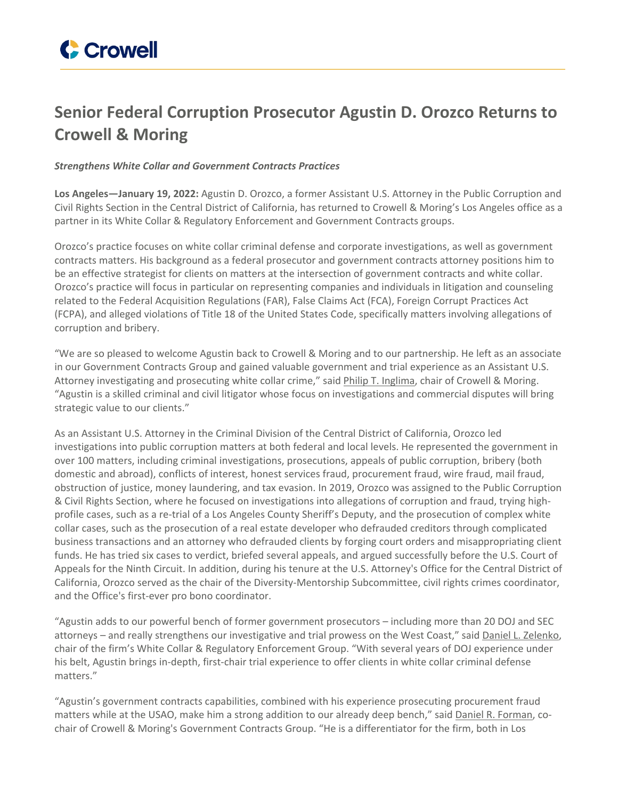## **Senior Federal Corruption Prosecutor Agustin D. Orozco Returns to Crowell & Moring**

*Strengthens White Collar and Government Contracts Practices*

**Los Angeles—January 19, 2022:** Agustin D. Orozco, a former Assistant U.S. Attorney in the Public Corruption and Civil Rights Section in the Central District of California, has returned to Crowell & Moring's Los Angeles office as a partner in its White Collar & Regulatory Enforcement and Government Contracts groups.

Orozco's practice focuses on white collar criminal defense and corporate investigations, as well as government contracts matters. His background as a federal prosecutor and government contracts attorney positions him to be an effective strategist for clients on matters at the intersection of government contracts and white collar. Orozco's practice will focus in particular on representing companies and individuals in litigation and counseling related to the Federal Acquisition Regulations (FAR), False Claims Act (FCA), Foreign Corrupt Practices Act (FCPA), and alleged violations of Title 18 of the United States Code, specifically matters involving allegations of corruption and bribery.

"We are so pleased to welcome Agustin back to Crowell & Moring and to our partnership. He left as an associate in our Government Contracts Group and gained valuable government and trial experience as an Assistant U.S. Attorney investigating and prosecuting white collar crime," said Philip T. [Inglima](https://www.crowell.com/Professionals/Philip-Inglima), chair of Crowell & Moring. "Agustin is a skilled criminal and civil litigator whose focus on investigations and commercial disputes will bring strategic value to our clients."

As an Assistant U.S. Attorney in the Criminal Division of the Central District of California, Orozco led investigations into public corruption matters at both federal and local levels. He represented the government in over 100 matters, including criminal investigations, prosecutions, appeals of public corruption, bribery (both domestic and abroad), conflicts of interest, honest services fraud, procurement fraud, wire fraud, mail fraud, obstruction of justice, money laundering, and tax evasion. In 2019, Orozco was assigned to the Public Corruption & Civil Rights Section, where he focused on investigations into allegations of corruption and fraud, trying highprofile cases, such as a re-trial of a Los Angeles County Sheriff's Deputy, and the prosecution of complex white collar cases, such as the prosecution of a real estate developer who defrauded creditors through complicated business transactions and an attorney who defrauded clients by forging court orders and misappropriating client funds. He has tried six cases to verdict, briefed several appeals, and argued successfully before the U.S. Court of Appeals for the Ninth Circuit. In addition, during his tenure at the U.S. Attorney's Office for the Central District of California, Orozco served as the chair of the Diversity-Mentorship Subcommittee, civil rights crimes coordinator, and the Office's first-ever pro bono coordinator.

"Agustin adds to our powerful bench of former government prosecutors – including more than 20 DOJ and SEC attorneys – and really strengthens our investigative and trial prowess on the West Coast," said Daniel L. [Zelenko,](https://www.crowell.com/professionals/Daniel-Zelenko) chair of the firm's White Collar & Regulatory Enforcement Group. "With several years of DOJ experience under his belt, Agustin brings in-depth, first-chair trial experience to offer clients in white collar criminal defense matters."

"Agustin's government contracts capabilities, combined with his experience prosecuting procurement fraud matters while at the USAO, make him a strong addition to our already deep bench," said Daniel R. [Forman,](https://www.crowell.com/professionals/daniel-forman) cochair of Crowell & Moring's Government Contracts Group. "He is a differentiator for the firm, both in Los